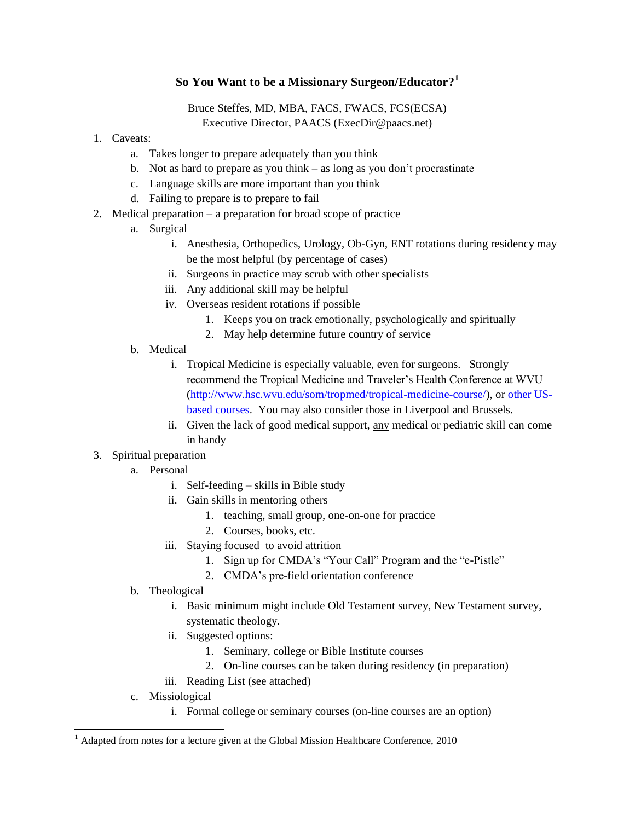# **So You Want to be a Missionary Surgeon/Educator? 1**

# Bruce Steffes, MD, MBA, FACS, FWACS, FCS(ECSA) Executive Director, PAACS (ExecDir@paacs.net)

- 1. Caveats:
	- a. Takes longer to prepare adequately than you think
	- b. Not as hard to prepare as you think as long as you don't procrastinate
	- c. Language skills are more important than you think
	- d. Failing to prepare is to prepare to fail
- 2. Medical preparation a preparation for broad scope of practice
	- a. Surgical
		- i. Anesthesia, Orthopedics, Urology, Ob-Gyn, ENT rotations during residency may be the most helpful (by percentage of cases)
		- ii. Surgeons in practice may scrub with other specialists
		- iii. Any additional skill may be helpful
		- iv. Overseas resident rotations if possible
			- 1. Keeps you on track emotionally, psychologically and spiritually
			- 2. May help determine future country of service
	- b. Medical
		- i. Tropical Medicine is especially valuable, even for surgeons. Strongly recommend the Tropical Medicine and Traveler's Health Conference at WVU [\(http://www.hsc.wvu.edu/som/tropmed/tropical-medicine-course/\)](http://www.hsc.wvu.edu/som/tropmed/tropical-medicine-course/), or [other US](http://www.astmh.org/AM/Template.cfm?Section=Approved_Diploma_Courses&Template=/CM/ContentDisplay.cfm&ContentID=4182)[based courses.](http://www.astmh.org/AM/Template.cfm?Section=Approved_Diploma_Courses&Template=/CM/ContentDisplay.cfm&ContentID=4182) You may also consider those in Liverpool and Brussels.
		- ii. Given the lack of good medical support, any medical or pediatric skill can come in handy
- 3. Spiritual preparation
	- a. Personal
		- i. Self-feeding skills in Bible study
		- ii. Gain skills in mentoring others
			- 1. teaching, small group, one-on-one for practice
			- 2. Courses, books, etc.
		- iii. Staying focused to avoid attrition
			- 1. Sign up for CMDA's "Your Call" Program and the "e-Pistle"
			- 2. CMDA's pre-field orientation conference
	- b. Theological
		- i. Basic minimum might include Old Testament survey, New Testament survey, systematic theology.
		- ii. Suggested options:
			- 1. Seminary, college or Bible Institute courses
			- 2. On-line courses can be taken during residency (in preparation)
		- iii. Reading List (see attached)
	- c. Missiological

 $\overline{a}$ 

i. Formal college or seminary courses (on-line courses are an option)

<sup>1</sup> Adapted from notes for a lecture given at the Global Mission Healthcare Conference, 2010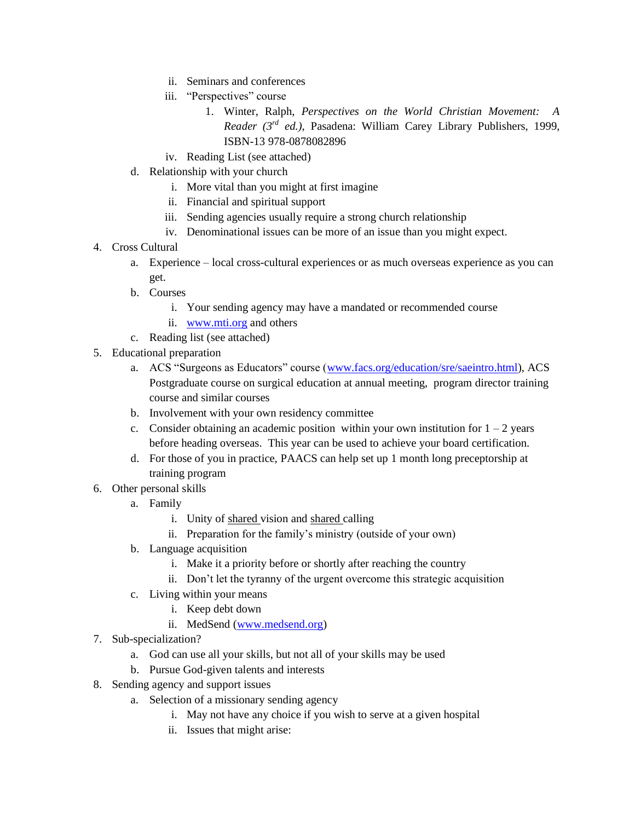- ii. Seminars and conferences
- iii. "Perspectives" course
	- 1. Winter, Ralph, *Perspectives on the World Christian Movement: A Reader (3rd ed.)*, Pasadena: William Carey Library Publishers, 1999, ISBN-13 978-0878082896
- iv. Reading List (see attached)
- d. Relationship with your church
	- i. More vital than you might at first imagine
	- ii. Financial and spiritual support
	- iii. Sending agencies usually require a strong church relationship
	- iv. Denominational issues can be more of an issue than you might expect.
- 4. Cross Cultural
	- a. Experience local cross-cultural experiences or as much overseas experience as you can get.
	- b. Courses
		- i. Your sending agency may have a mandated or recommended course
		- ii. [www.mti.org](http://www.mti.org/) and others
	- c. Reading list (see attached)
- 5. Educational preparation
	- a. ACS "Surgeons as Educators" course [\(www.facs.org/education/sre/saeintro.html\)](http://www.facs.org/education/sre/saeintro.html), ACS Postgraduate course on surgical education at annual meeting, program director training course and similar courses
	- b. Involvement with your own residency committee
	- c. Consider obtaining an academic position within your own institution for  $1 2$  years before heading overseas. This year can be used to achieve your board certification.
	- d. For those of you in practice, PAACS can help set up 1 month long preceptorship at training program
- 6. Other personal skills
	- a. Family
		- i. Unity of shared vision and shared calling
		- ii. Preparation for the family's ministry (outside of your own)
	- b. Language acquisition
		- i. Make it a priority before or shortly after reaching the country
		- ii. Don't let the tyranny of the urgent overcome this strategic acquisition
	- c. Living within your means
		- i. Keep debt down
		- ii. MedSend [\(www.medsend.org\)](http://www.medsend.org/)
- 7. Sub-specialization?
	- a. God can use all your skills, but not all of your skills may be used
	- b. Pursue God-given talents and interests
- 8. Sending agency and support issues
	- a. Selection of a missionary sending agency
		- i. May not have any choice if you wish to serve at a given hospital
		- ii. Issues that might arise: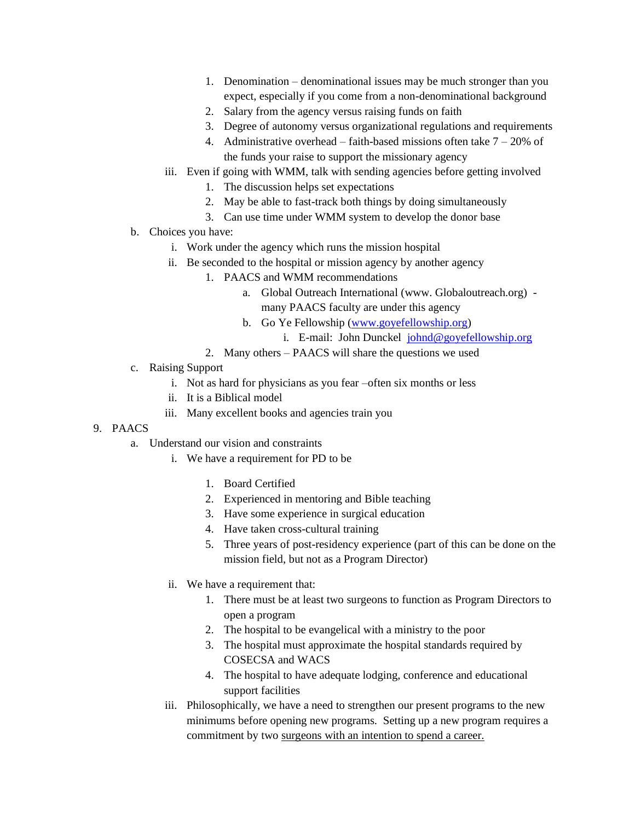- 1. Denomination denominational issues may be much stronger than you expect, especially if you come from a non-denominational background
- 2. Salary from the agency versus raising funds on faith
- 3. Degree of autonomy versus organizational regulations and requirements
- 4. Administrative overhead faith-based missions often take  $7 20\%$  of the funds your raise to support the missionary agency
- iii. Even if going with WMM, talk with sending agencies before getting involved
	- 1. The discussion helps set expectations
	- 2. May be able to fast-track both things by doing simultaneously
	- 3. Can use time under WMM system to develop the donor base
- b. Choices you have:
	- i. Work under the agency which runs the mission hospital
	- ii. Be seconded to the hospital or mission agency by another agency
		- 1. PAACS and WMM recommendations
			- a. Global Outreach International (www. Globaloutreach.org) many PAACS faculty are under this agency
			- b. Go Ye Fellowship [\(www.goyefellowship.org\)](http://www.goyefellowship.org/)
				- i. E-mail: John Dunckel [johnd@goyefellowship.org](mailto:johnd@goyefellowship.org)
		- 2. Many others PAACS will share the questions we used
- c. Raising Support
	- i. Not as hard for physicians as you fear –often six months or less
	- ii. It is a Biblical model
	- iii. Many excellent books and agencies train you

## 9. PAACS

- a. Understand our vision and constraints
	- i. We have a requirement for PD to be
		- 1. Board Certified
		- 2. Experienced in mentoring and Bible teaching
		- 3. Have some experience in surgical education
		- 4. Have taken cross-cultural training
		- 5. Three years of post-residency experience (part of this can be done on the mission field, but not as a Program Director)
	- ii. We have a requirement that:
		- 1. There must be at least two surgeons to function as Program Directors to open a program
		- 2. The hospital to be evangelical with a ministry to the poor
		- 3. The hospital must approximate the hospital standards required by COSECSA and WACS
		- 4. The hospital to have adequate lodging, conference and educational support facilities
	- iii. Philosophically, we have a need to strengthen our present programs to the new minimums before opening new programs. Setting up a new program requires a commitment by two surgeons with an intention to spend a career.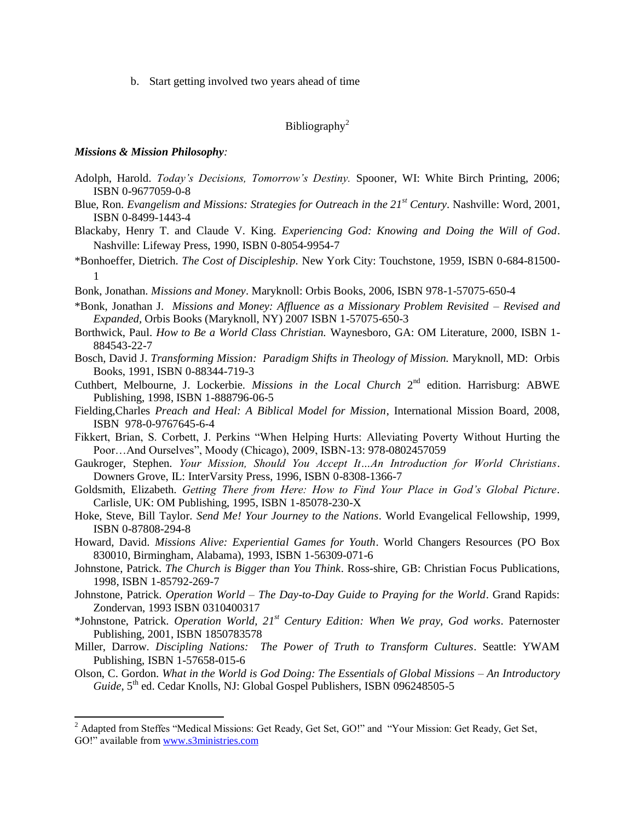b. Start getting involved two years ahead of time

## Bibliography<sup>2</sup>

### *Missions & Mission Philosophy:*

 $\overline{a}$ 

- Adolph, Harold. *Today's Decisions, Tomorrow's Destiny.* Spooner, WI: White Birch Printing, 2006; ISBN 0-9677059-0-8
- Blue, Ron. *Evangelism and Missions: Strategies for Outreach in the 21st Century*. Nashville: Word, 2001, ISBN 0-8499-1443-4
- Blackaby, Henry T. and Claude V. King. *Experiencing God: Knowing and Doing the Will of God*. Nashville: Lifeway Press, 1990, ISBN 0-8054-9954-7
- \*Bonhoeffer, Dietrich. *The Cost of Discipleship.* New York City: Touchstone, 1959, ISBN 0-684-81500- 1
- Bonk, Jonathan. *Missions and Money*. Maryknoll: Orbis Books, 2006, ISBN 978-1-57075-650-4
- \*Bonk, Jonathan J. *Missions and Money: Affluence as a Missionary Problem Revisited – Revised and Expanded,* Orbis Books (Maryknoll, NY) 2007 ISBN 1-57075-650-3
- Borthwick, Paul. *How to Be a World Class Christian.* Waynesboro, GA: OM Literature, 2000, ISBN 1- 884543-22-7
- Bosch, David J. *Transforming Mission: Paradigm Shifts in Theology of Mission.* Maryknoll, MD: Orbis Books, 1991, ISBN 0-88344-719-3
- Cuthbert, Melbourne, J. Lockerbie. *Missions in the Local Church* 2<sup>nd</sup> edition. Harrisburg: ABWE Publishing, 1998, ISBN 1-888796-06-5
- Fielding,Charles *Preach and Heal: A Biblical Model for Mission*, International Mission Board, 2008, ISBN 978-0-9767645-6-4
- Fikkert, Brian, S. Corbett, J. Perkins "When Helping Hurts: Alleviating Poverty Without Hurting the Poor…And Ourselves", Moody (Chicago), 2009, ISBN-13: 978-0802457059
- Gaukroger, Stephen. *Your Mission, Should You Accept It…An Introduction for World Christians*. Downers Grove, IL: InterVarsity Press, 1996, ISBN 0-8308-1366-7
- Goldsmith, Elizabeth. *Getting There from Here: How to Find Your Place in God's Global Picture*. Carlisle, UK: OM Publishing, 1995, ISBN 1-85078-230-X
- Hoke, Steve, Bill Taylor. *Send Me! Your Journey to the Nations*. World Evangelical Fellowship, 1999, ISBN 0-87808-294-8
- Howard, David. *Missions Alive: Experiential Games for Youth*. World Changers Resources (PO Box 830010, Birmingham, Alabama), 1993, ISBN 1-56309-071-6
- Johnstone, Patrick. *The Church is Bigger than You Think*. Ross-shire, GB: Christian Focus Publications, 1998, ISBN 1-85792-269-7
- Johnstone, Patrick. *Operation World – The Day-to-Day Guide to Praying for the World*. Grand Rapids: Zondervan, 1993 ISBN 0310400317
- \*Johnstone, Patrick. *Operation World, 21st Century Edition: When We pray, God works*. Paternoster Publishing, 2001, ISBN 1850783578
- Miller, Darrow. *Discipling Nations: The Power of Truth to Transform Cultures*. Seattle: YWAM Publishing, ISBN 1-57658-015-6
- Olson, C. Gordon. *What in the World is God Doing: The Essentials of Global Missions – An Introductory*  Guide, 5<sup>th</sup> ed. Cedar Knolls, NJ: Global Gospel Publishers, ISBN 096248505-5

<sup>&</sup>lt;sup>2</sup> Adapted from Steffes "Medical Missions: Get Ready, Get Set, GO!" and "Your Mission: Get Ready, Get Set, GO!" available from [www.s3ministries.com](http://www.s3ministries.com/)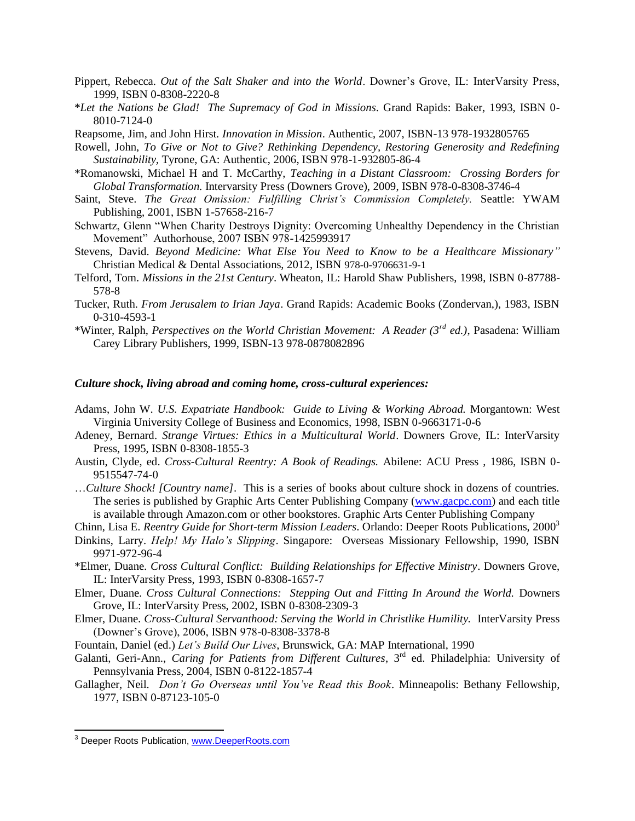- Pippert, Rebecca. *Out of the Salt Shaker and into the World*. Downer's Grove, IL: InterVarsity Press, 1999, ISBN 0-8308-2220-8
- \**Let the Nations be Glad! The Supremacy of God in Missions*. Grand Rapids: Baker, 1993, ISBN 0- 8010-7124-0
- Reapsome, Jim, and John Hirst. *Innovation in Mission*. Authentic, 2007, ISBN-13 978-1932805765
- Rowell, John, *To Give or Not to Give? Rethinking Dependency, Restoring Generosity and Redefining Sustainability,* Tyrone, GA: Authentic, 2006, ISBN 978-1-932805-86-4
- \*Romanowski, Michael H and T. McCarthy, *Teaching in a Distant Classroom: Crossing Borders for Global Transformation.* Intervarsity Press (Downers Grove), 2009, ISBN 978-0-8308-3746-4
- Saint, Steve. *The Great Omission: Fulfilling Christ's Commission Completely.* Seattle: YWAM Publishing, 2001, ISBN 1-57658-216-7
- Schwartz, Glenn "When Charity Destroys Dignity: Overcoming Unhealthy Dependency in the Christian Movement" Authorhouse, 2007 ISBN 978-1425993917
- Stevens, David. *Beyond Medicine: What Else You Need to Know to be a Healthcare Missionary"* Christian Medical & Dental Associations, 2012, ISBN 978-0-9706631-9-1
- Telford, Tom. *Missions in the 21st Century*. Wheaton, IL: Harold Shaw Publishers, 1998, ISBN 0-87788- 578-8
- Tucker, Ruth. *From Jerusalem to Irian Jaya*. Grand Rapids: Academic Books (Zondervan,), 1983, ISBN 0-310-4593-1
- \*Winter, Ralph, *Perspectives on the World Christian Movement: A Reader (3rd ed.)*, Pasadena: William Carey Library Publishers, 1999, ISBN-13 978-0878082896

#### *Culture shock, living abroad and coming home, cross-cultural experiences:*

- Adams, John W. *U.S. Expatriate Handbook: Guide to Living & Working Abroad.* Morgantown: West Virginia University College of Business and Economics, 1998, ISBN 0-9663171-0-6
- Adeney, Bernard. *Strange Virtues: Ethics in a Multicultural World*. Downers Grove, IL: InterVarsity Press, 1995, ISBN 0-8308-1855-3
- Austin, Clyde, ed. *Cross-Cultural Reentry: A Book of Readings.* Abilene: ACU Press , 1986, ISBN 0- 9515547-74-0
- …*Culture Shock! [Country name]*. This is a series of books about culture shock in dozens of countries. The series is published by Graphic Arts Center Publishing Company [\(www.gacpc.com\)](http://www.gacpc.com/) and each title is available through Amazon.com or other bookstores. Graphic Arts Center Publishing Company
- Chinn, Lisa E. *Reentry Guide for Short-term Mission Leaders*. Orlando: Deeper Roots Publications, 2000<sup>3</sup>
- Dinkins, Larry. *Help! My Halo's Slipping*. Singapore: Overseas Missionary Fellowship, 1990, ISBN 9971-972-96-4
- \*Elmer, Duane. *Cross Cultural Conflict: Building Relationships for Effective Ministry*. Downers Grove, IL: InterVarsity Press, 1993, ISBN 0-8308-1657-7
- Elmer, Duane. *Cross Cultural Connections: Stepping Out and Fitting In Around the World.* Downers Grove, IL: InterVarsity Press, 2002, ISBN 0-8308-2309-3
- Elmer, Duane. *Cross-Cultural Servanthood: Serving the World in Christlike Humility.* InterVarsity Press (Downer's Grove), 2006, ISBN 978-0-8308-3378-8
- Fountain, Daniel (ed.) *Let's Build Our Lives*, Brunswick, GA: MAP International, 1990
- Galanti, Geri-Ann., *Caring for Patients from Different Cultures*, 3<sup>rd</sup> ed. Philadelphia: University of Pennsylvania Press, 2004, ISBN 0-8122-1857-4
- Gallagher, Neil. *Don't Go Overseas until You've Read this Book*. Minneapolis: Bethany Fellowship, 1977, ISBN 0-87123-105-0

 $\overline{a}$ 

<sup>&</sup>lt;sup>3</sup> Deeper Roots Publication, [www.DeeperRoots.com](http://www.deeperroots.com/)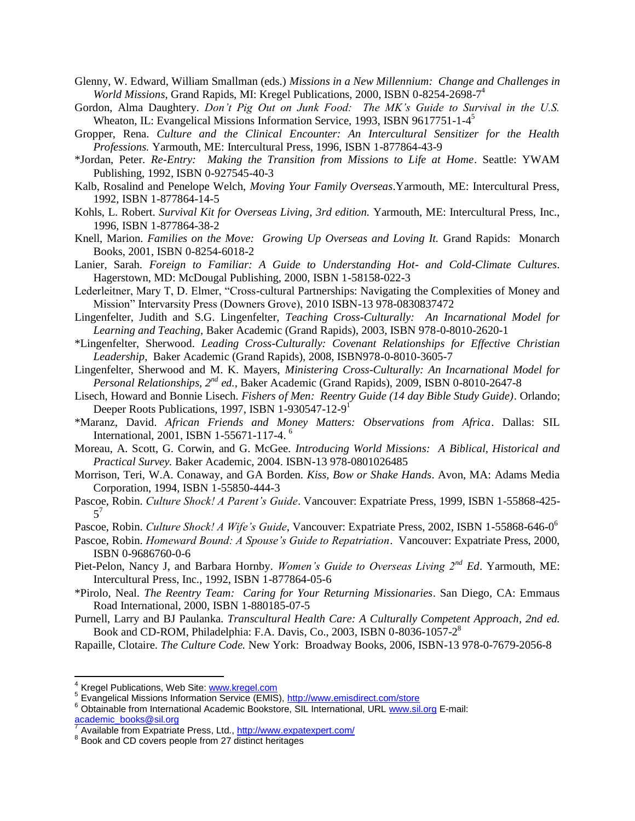- Glenny, W. Edward, William Smallman (eds.) *Missions in a New Millennium: Change and Challenges in World Missions*, Grand Rapids, MI: Kregel Publications, 2000, ISBN 0-8254-2698-7 4
- Gordon, Alma Daughtery. *Don't Pig Out on Junk Food: The MK's Guide to Survival in the U.S.* Wheaton, IL: Evangelical Missions Information Service, 1993, ISBN 9617751-1-4<sup>5</sup>
- Gropper, Rena. *Culture and the Clinical Encounter: An Intercultural Sensitizer for the Health Professions.* Yarmouth, ME: Intercultural Press, 1996, ISBN 1-877864-43-9
- \*Jordan, Peter. *Re-Entry: Making the Transition from Missions to Life at Home*. Seattle: YWAM Publishing, 1992, ISBN 0-927545-40-3
- Kalb, Rosalind and Penelope Welch, *Moving Your Family Overseas*.Yarmouth, ME: Intercultural Press, 1992, ISBN 1-877864-14-5
- Kohls, L. Robert. *Survival Kit for Overseas Living, 3rd edition.* Yarmouth, ME: Intercultural Press, Inc., 1996, ISBN 1-877864-38-2
- Knell, Marion. *Families on the Move: Growing Up Overseas and Loving It. Grand Rapids: Monarch* Books, 2001, ISBN 0-8254-6018-2
- Lanier, Sarah. *Foreign to Familiar: A Guide to Understanding Hot- and Cold-Climate Cultures*. Hagerstown, MD: McDougal Publishing, 2000, ISBN 1-58158-022-3
- Lederleitner, Mary T, D. Elmer, "Cross-cultural Partnerships: Navigating the Complexities of Money and Mission" Intervarsity Press (Downers Grove), 2010 ISBN-13 978-0830837472
- Lingenfelter, Judith and S.G. Lingenfelter, *Teaching Cross-Culturally: An Incarnational Model for Learning and Teaching,* Baker Academic (Grand Rapids), 2003, ISBN 978-0-8010-2620-1
- \*Lingenfelter, Sherwood. *Leading Cross-Culturally: Covenant Relationships for Effective Christian Leadership*, Baker Academic (Grand Rapids), 2008, ISBN978-0-8010-3605-7
- Lingenfelter, Sherwood and M. K. Mayers, *Ministering Cross-Culturally: An Incarnational Model for Personal Relationships, 2nd ed.,* Baker Academic (Grand Rapids), 2009, ISBN 0-8010-2647-8
- Lisech, Howard and Bonnie Lisech. *Fishers of Men: Reentry Guide (14 day Bible Study Guide)*. Orlando; Deeper Roots Publications, 1997, ISBN 1-930547-12-9<sup>1</sup>
- \*Maranz, David. *African Friends and Money Matters: Observations from Africa*. Dallas: SIL International, 2001, ISBN 1-55671-117-4. <sup>6</sup>
- Moreau, A. Scott, G. Corwin, and G. McGee. *Introducing World Missions: A Biblical, Historical and Practical Survey.* Baker Academic, 2004. ISBN-13 978-0801026485
- Morrison, Teri, W.A. Conaway, and GA Borden. *Kiss, Bow or Shake Hands*. Avon, MA: Adams Media Corporation, 1994, ISBN 1-55850-444-3
- Pascoe, Robin. *Culture Shock! A Parent's Guide*. Vancouver: Expatriate Press, 1999, ISBN 1-55868-425- 5 7
- Pascoe, Robin. *Culture Shock! A Wife's Guide*, Vancouver: Expatriate Press, 2002, ISBN 1-55868-646-0 6
- Pascoe, Robin. *Homeward Bound: A Spouse's Guide to Repatriation*. Vancouver: Expatriate Press, 2000, ISBN 0-9686760-0-6
- Piet-Pelon, Nancy J, and Barbara Hornby. *Women's Guide to Overseas Living 2nd Ed*. Yarmouth, ME: Intercultural Press, Inc., 1992, ISBN 1-877864-05-6
- \*Pirolo, Neal. *The Reentry Team: Caring for Your Returning Missionaries*. San Diego, CA: Emmaus Road International, 2000, ISBN 1-880185-07-5
- Purnell, Larry and BJ Paulanka. *Transcultural Health Care: A Culturally Competent Approach, 2nd ed.* Book and CD-ROM, Philadelphia: F.A. Davis, Co., 2003, ISBN 0-8036-1057-2<sup>8</sup>
- Rapaille, Clotaire. *The Culture Code.* New York: Broadway Books, 2006, ISBN-13 978-0-7679-2056-8

<sup>&</sup>lt;sup>4</sup> Kregel Publications, Web Site[: www.kregel.com](http://www.kregel.com/)<br><sup>5</sup> Expansivel Missions Information Cantice (EMIS

<sup>&</sup>lt;sup>5</sup> Evangelical Missions Information Service (EMIS),<http://www.emisdirect.com/store>

<sup>&</sup>lt;sup>6</sup> Obtainable from International Academic Bookstore, SIL International, URL [www.sil.org](http://www.sil.org/) E-mail: [academic\\_books@sil.org](mailto:academic_books@sil.org)<br>7. Avgileble.from Expetrict

Available from Expatriate Press, Ltd.[, http://www.expatexpert.com/](http://www.expatexpert.com/) 

<sup>&</sup>lt;sup>8</sup> Book and CD covers people from 27 distinct heritages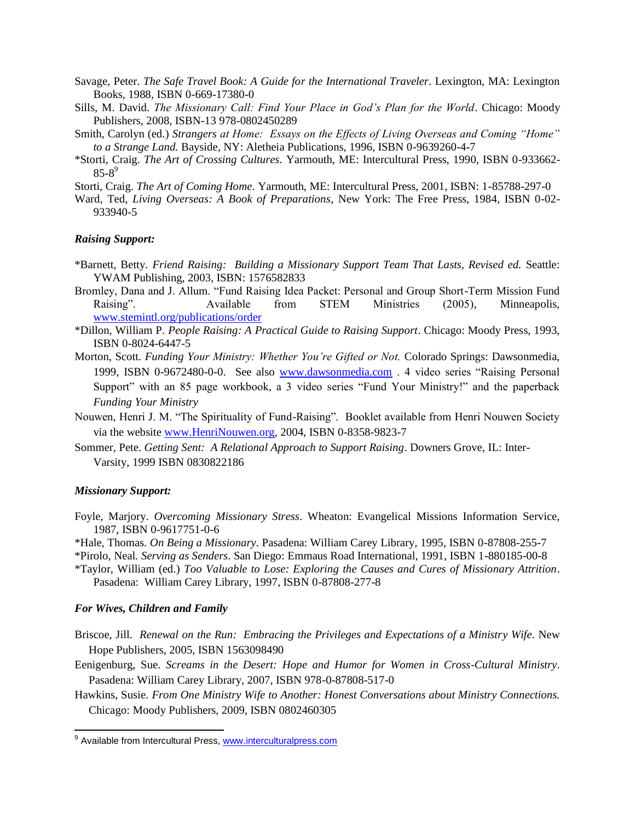- Savage, Peter. *The Safe Travel Book: A Guide for the International Traveler*. Lexington, MA: Lexington Books, 1988, ISBN 0-669-17380-0
- Sills, M. David. *The Missionary Call: Find Your Place in God's Plan for the World*. Chicago: Moody Publishers, 2008, ISBN-13 978-0802450289
- Smith, Carolyn (ed.) *Strangers at Home: Essays on the Effects of Living Overseas and Coming "Home" to a Strange Land.* Bayside, NY: Aletheia Publications, 1996, ISBN 0-9639260-4-7
- \*Storti, Craig. *The Art of Crossing Cultures*. Yarmouth, ME: Intercultural Press, 1990, ISBN 0-933662-  $85 - 8^9$
- Storti, Craig. *The Art of Coming Home*. Yarmouth, ME: Intercultural Press, 2001, ISBN: 1-85788-297-0
- Ward, Ted, *Living Overseas: A Book of Preparations*, New York: The Free Press, 1984, ISBN 0-02- 933940-5

### *Raising Support:*

- \*Barnett, Betty. *Friend Raising: Building a Missionary Support Team That Lasts, Revised ed.* Seattle: YWAM Publishing, 2003, ISBN: 1576582833
- Bromley, Dana and J. Allum. "Fund Raising Idea Packet: Personal and Group Short-Term Mission Fund Raising". Available from STEM Ministries (2005), Minneapolis, [www.stemintl.org/publications/order](http://www.stemintl.org/publications/order)
- \*Dillon, William P. *People Raising: A Practical Guide to Raising Support*. Chicago: Moody Press, 1993, ISBN 0-8024-6447-5
- Morton, Scott. *Funding Your Ministry: Whether You're Gifted or Not.* Colorado Springs: Dawsonmedia, 1999, ISBN 0-9672480-0-0. See also [www.dawsonmedia.com](http://www.dawsonmedia.com/) . 4 video series "Raising Personal Support" with an 85 page workbook, a 3 video series "Fund Your Ministry!" and the paperback *Funding Your Ministry*
- Nouwen, Henri J. M. "The Spirituality of Fund-Raising". Booklet available from Henri Nouwen Society via the website [www.HenriNouwen.org,](http://www.henrinouwen.org/) 2004, ISBN 0-8358-9823-7
- Sommer, Pete. *Getting Sent: A Relational Approach to Support Raising*. Downers Grove, IL: Inter-Varsity, 1999 ISBN 0830822186

#### *Missionary Support:*

- Foyle, Marjory. *Overcoming Missionary Stress*. Wheaton: Evangelical Missions Information Service, 1987, ISBN 0-9617751-0-6
- \*Hale, Thomas. *On Being a Missionary*. Pasadena: William Carey Library, 1995, ISBN 0-87808-255-7 \*Pirolo, Neal*. Serving as Senders*. San Diego: Emmaus Road International, 1991, ISBN 1-880185-00-8
- \*Taylor, William (ed.) *Too Valuable to Lose: Exploring the Causes and Cures of Missionary Attrition*. Pasadena: William Carey Library, 1997, ISBN 0-87808-277-8

#### *For Wives, Children and Family*

- Briscoe, Jill. *Renewal on the Run: Embracing the Privileges and Expectations of a Ministry Wife*. New Hope Publishers, 2005, ISBN 1563098490
- Eenigenburg, Sue. *Screams in the Desert: Hope and Humor for Women in Cross-Cultural Ministry*. Pasadena: William Carey Library, 2007, ISBN 978-0-87808-517-0
- Hawkins, Susie. *From One Ministry Wife to Another: Honest Conversations about Ministry Connections.*  Chicago: Moody Publishers, 2009, ISBN 0802460305

<sup>&</sup>lt;u>。</u><br><sup>9</sup> Available from Intercultural Press, <u>www.interculturalpress.com</u>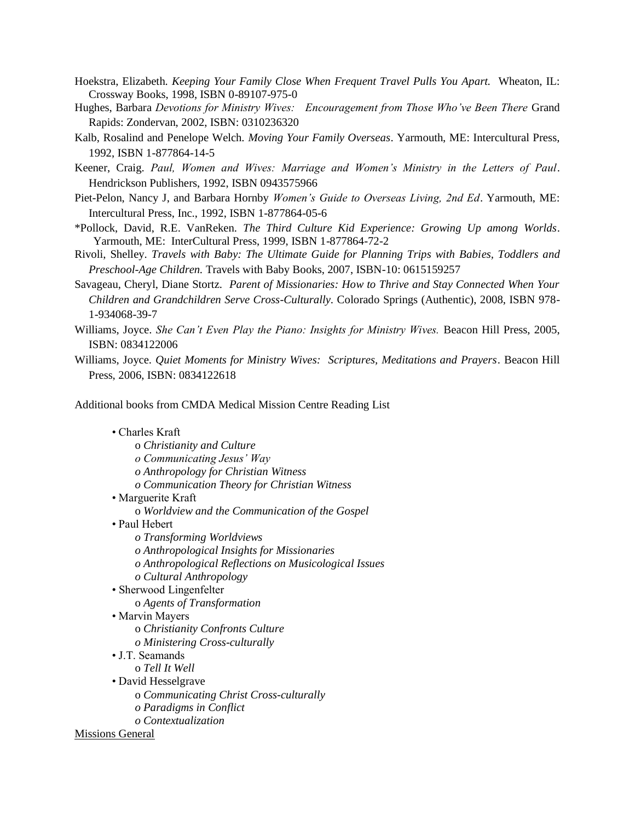- Hoekstra, Elizabeth. *Keeping Your Family Close When Frequent Travel Pulls You Apart.* Wheaton, IL: Crossway Books, 1998, ISBN 0-89107-975-0
- Hughes, Barbara *Devotions for Ministry Wives: Encouragement from Those Who've Been There* Grand Rapids: Zondervan, 2002, ISBN: 0310236320
- Kalb, Rosalind and Penelope Welch. *Moving Your Family Overseas*. Yarmouth, ME: Intercultural Press, 1992, ISBN 1-877864-14-5
- Keener, Craig. *Paul, Women and Wives: Marriage and Women's Ministry in the Letters of Paul*. Hendrickson Publishers, 1992, ISBN 0943575966
- Piet-Pelon, Nancy J, and Barbara Hornby *Women's Guide to Overseas Living, 2nd Ed*. Yarmouth, ME: Intercultural Press, Inc., 1992, ISBN 1-877864-05-6
- \*Pollock, David, R.E. VanReken. *The Third Culture Kid Experience: Growing Up among Worlds*. Yarmouth, ME: InterCultural Press, 1999, ISBN 1-877864-72-2
- Rivoli, Shelley. *Travels with Baby: The Ultimate Guide for Planning Trips with Babies, Toddlers and Preschool-Age Children.* Travels with Baby Books, 2007, ISBN-10: 0615159257
- Savageau, Cheryl, Diane Stortz. *Parent of Missionaries: How to Thrive and Stay Connected When Your Children and Grandchildren Serve Cross-Culturally*. Colorado Springs (Authentic), 2008, ISBN 978- 1-934068-39-7
- Williams, Joyce. *She Can't Even Play the Piano: Insights for Ministry Wives.* Beacon Hill Press, 2005, ISBN: 0834122006
- Williams, Joyce. *Quiet Moments for Ministry Wives: Scriptures, Meditations and Prayers*. Beacon Hill Press, 2006, ISBN: 0834122618

Additional books from CMDA Medical Mission Centre Reading List

## • Charles Kraft

 o *Christianity and Culture o Communicating Jesus' Way o Anthropology for Christian Witness o Communication Theory for Christian Witness* • Marguerite Kraft o *Worldview and the Communication of the Gospel* • Paul Hebert *o Transforming Worldviews o Anthropological Insights for Missionaries o Anthropological Reflections on Musicological Issues o Cultural Anthropology* • Sherwood Lingenfelter o *Agents of Transformation*  • Marvin Mayers o *Christianity Confronts Culture o Ministering Cross-culturally* • J.T. Seamands o *Tell It Well* • David Hesselgrave o *Communicating Christ Cross-culturally o Paradigms in Conflict o Contextualization*

Missions General